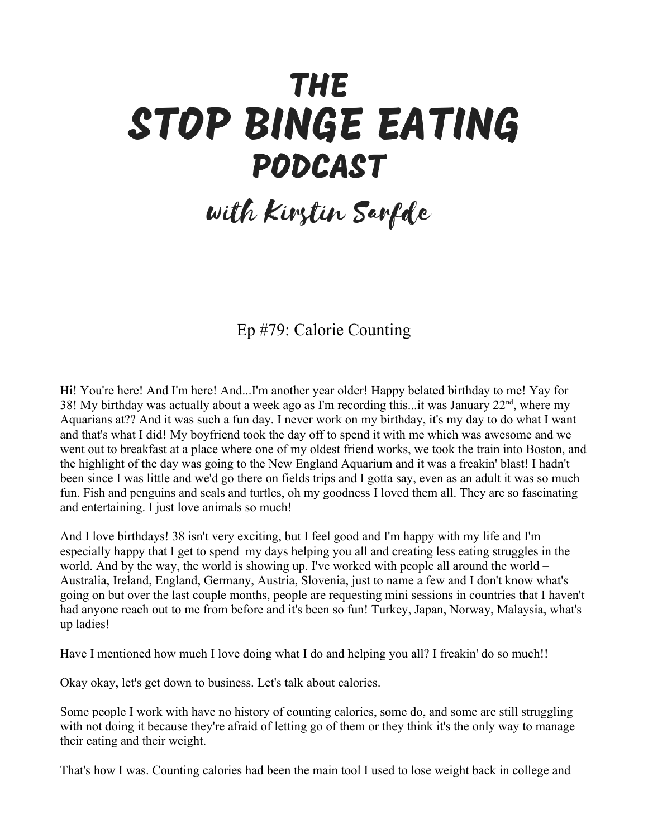## **THE** STOP BINGE EATING PODCAST

## with Kirstin Sarfde

## Ep #79: Calorie Counting

Hi! You're here! And I'm here! And...I'm another year older! Happy belated birthday to me! Yay for 38! My birthday was actually about a week ago as I'm recording this...it was January  $22<sup>nd</sup>$ , where my Aquarians at?? And it was such a fun day. I never work on my birthday, it's my day to do what I want and that's what I did! My boyfriend took the day off to spend it with me which was awesome and we went out to breakfast at a place where one of my oldest friend works, we took the train into Boston, and the highlight of the day was going to the New England Aquarium and it was a freakin' blast! I hadn't been since I was little and we'd go there on fields trips and I gotta say, even as an adult it was so much fun. Fish and penguins and seals and turtles, oh my goodness I loved them all. They are so fascinating and entertaining. I just love animals so much!

And I love birthdays! 38 isn't very exciting, but I feel good and I'm happy with my life and I'm especially happy that I get to spend my days helping you all and creating less eating struggles in the world. And by the way, the world is showing up. I've worked with people all around the world – Australia, Ireland, England, Germany, Austria, Slovenia, just to name a few and I don't know what's going on but over the last couple months, people are requesting mini sessions in countries that I haven't had anyone reach out to me from before and it's been so fun! Turkey, Japan, Norway, Malaysia, what's up ladies!

Have I mentioned how much I love doing what I do and helping you all? I freakin' do so much!!

Okay okay, let's get down to business. Let's talk about calories.

Some people I work with have no history of counting calories, some do, and some are still struggling with not doing it because they're afraid of letting go of them or they think it's the only way to manage their eating and their weight.

That's how I was. Counting calories had been the main tool I used to lose weight back in college and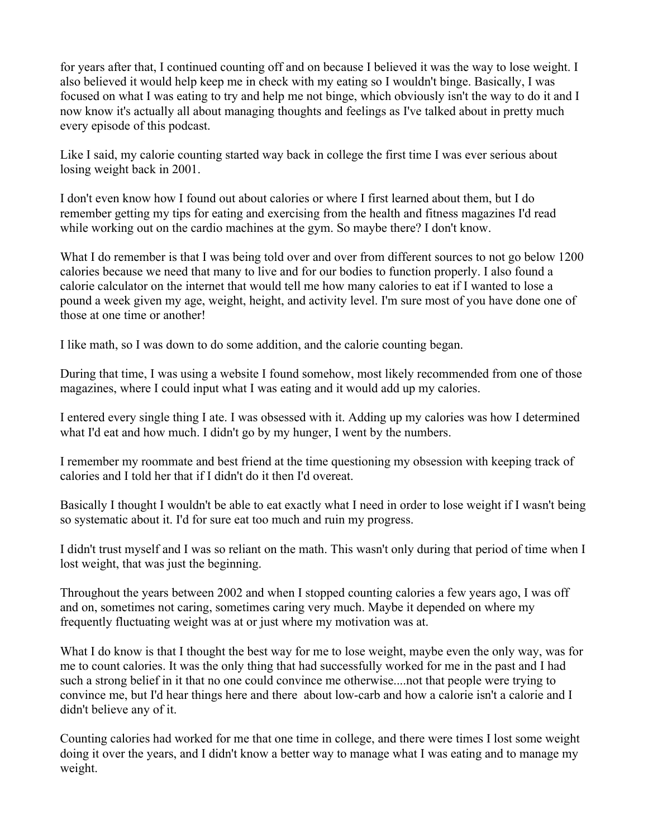for years after that, I continued counting off and on because I believed it was the way to lose weight. I also believed it would help keep me in check with my eating so I wouldn't binge. Basically, I was focused on what I was eating to try and help me not binge, which obviously isn't the way to do it and I now know it's actually all about managing thoughts and feelings as I've talked about in pretty much every episode of this podcast.

Like I said, my calorie counting started way back in college the first time I was ever serious about losing weight back in 2001.

I don't even know how I found out about calories or where I first learned about them, but I do remember getting my tips for eating and exercising from the health and fitness magazines I'd read while working out on the cardio machines at the gym. So maybe there? I don't know.

What I do remember is that I was being told over and over from different sources to not go below 1200 calories because we need that many to live and for our bodies to function properly. I also found a calorie calculator on the internet that would tell me how many calories to eat if I wanted to lose a pound a week given my age, weight, height, and activity level. I'm sure most of you have done one of those at one time or another!

I like math, so I was down to do some addition, and the calorie counting began.

During that time, I was using a website I found somehow, most likely recommended from one of those magazines, where I could input what I was eating and it would add up my calories.

I entered every single thing I ate. I was obsessed with it. Adding up my calories was how I determined what I'd eat and how much. I didn't go by my hunger, I went by the numbers.

I remember my roommate and best friend at the time questioning my obsession with keeping track of calories and I told her that if I didn't do it then I'd overeat.

Basically I thought I wouldn't be able to eat exactly what I need in order to lose weight if I wasn't being so systematic about it. I'd for sure eat too much and ruin my progress.

I didn't trust myself and I was so reliant on the math. This wasn't only during that period of time when I lost weight, that was just the beginning.

Throughout the years between 2002 and when I stopped counting calories a few years ago, I was off and on, sometimes not caring, sometimes caring very much. Maybe it depended on where my frequently fluctuating weight was at or just where my motivation was at.

What I do know is that I thought the best way for me to lose weight, maybe even the only way, was for me to count calories. It was the only thing that had successfully worked for me in the past and I had such a strong belief in it that no one could convince me otherwise....not that people were trying to convince me, but I'd hear things here and there about low-carb and how a calorie isn't a calorie and I didn't believe any of it.

Counting calories had worked for me that one time in college, and there were times I lost some weight doing it over the years, and I didn't know a better way to manage what I was eating and to manage my weight.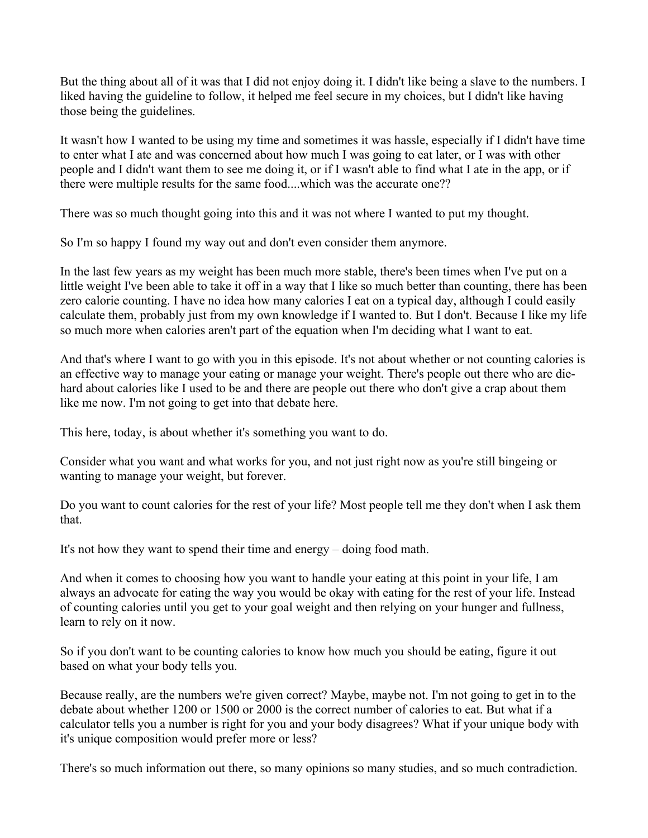But the thing about all of it was that I did not enjoy doing it. I didn't like being a slave to the numbers. I liked having the guideline to follow, it helped me feel secure in my choices, but I didn't like having those being the guidelines.

It wasn't how I wanted to be using my time and sometimes it was hassle, especially if I didn't have time to enter what I ate and was concerned about how much I was going to eat later, or I was with other people and I didn't want them to see me doing it, or if I wasn't able to find what I ate in the app, or if there were multiple results for the same food....which was the accurate one??

There was so much thought going into this and it was not where I wanted to put my thought.

So I'm so happy I found my way out and don't even consider them anymore.

In the last few years as my weight has been much more stable, there's been times when I've put on a little weight I've been able to take it off in a way that I like so much better than counting, there has been zero calorie counting. I have no idea how many calories I eat on a typical day, although I could easily calculate them, probably just from my own knowledge if I wanted to. But I don't. Because I like my life so much more when calories aren't part of the equation when I'm deciding what I want to eat.

And that's where I want to go with you in this episode. It's not about whether or not counting calories is an effective way to manage your eating or manage your weight. There's people out there who are diehard about calories like I used to be and there are people out there who don't give a crap about them like me now. I'm not going to get into that debate here.

This here, today, is about whether it's something you want to do.

Consider what you want and what works for you, and not just right now as you're still bingeing or wanting to manage your weight, but forever.

Do you want to count calories for the rest of your life? Most people tell me they don't when I ask them that.

It's not how they want to spend their time and energy – doing food math.

And when it comes to choosing how you want to handle your eating at this point in your life, I am always an advocate for eating the way you would be okay with eating for the rest of your life. Instead of counting calories until you get to your goal weight and then relying on your hunger and fullness, learn to rely on it now.

So if you don't want to be counting calories to know how much you should be eating, figure it out based on what your body tells you.

Because really, are the numbers we're given correct? Maybe, maybe not. I'm not going to get in to the debate about whether 1200 or 1500 or 2000 is the correct number of calories to eat. But what if a calculator tells you a number is right for you and your body disagrees? What if your unique body with it's unique composition would prefer more or less?

There's so much information out there, so many opinions so many studies, and so much contradiction.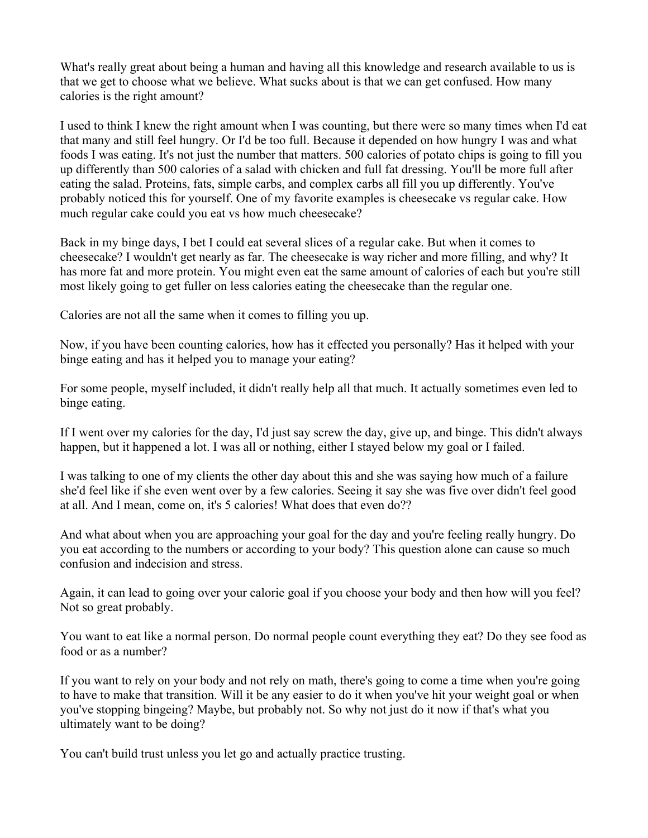What's really great about being a human and having all this knowledge and research available to us is that we get to choose what we believe. What sucks about is that we can get confused. How many calories is the right amount?

I used to think I knew the right amount when I was counting, but there were so many times when I'd eat that many and still feel hungry. Or I'd be too full. Because it depended on how hungry I was and what foods I was eating. It's not just the number that matters. 500 calories of potato chips is going to fill you up differently than 500 calories of a salad with chicken and full fat dressing. You'll be more full after eating the salad. Proteins, fats, simple carbs, and complex carbs all fill you up differently. You've probably noticed this for yourself. One of my favorite examples is cheesecake vs regular cake. How much regular cake could you eat vs how much cheesecake?

Back in my binge days, I bet I could eat several slices of a regular cake. But when it comes to cheesecake? I wouldn't get nearly as far. The cheesecake is way richer and more filling, and why? It has more fat and more protein. You might even eat the same amount of calories of each but you're still most likely going to get fuller on less calories eating the cheesecake than the regular one.

Calories are not all the same when it comes to filling you up.

Now, if you have been counting calories, how has it effected you personally? Has it helped with your binge eating and has it helped you to manage your eating?

For some people, myself included, it didn't really help all that much. It actually sometimes even led to binge eating.

If I went over my calories for the day, I'd just say screw the day, give up, and binge. This didn't always happen, but it happened a lot. I was all or nothing, either I stayed below my goal or I failed.

I was talking to one of my clients the other day about this and she was saying how much of a failure she'd feel like if she even went over by a few calories. Seeing it say she was five over didn't feel good at all. And I mean, come on, it's 5 calories! What does that even do??

And what about when you are approaching your goal for the day and you're feeling really hungry. Do you eat according to the numbers or according to your body? This question alone can cause so much confusion and indecision and stress.

Again, it can lead to going over your calorie goal if you choose your body and then how will you feel? Not so great probably.

You want to eat like a normal person. Do normal people count everything they eat? Do they see food as food or as a number?

If you want to rely on your body and not rely on math, there's going to come a time when you're going to have to make that transition. Will it be any easier to do it when you've hit your weight goal or when you've stopping bingeing? Maybe, but probably not. So why not just do it now if that's what you ultimately want to be doing?

You can't build trust unless you let go and actually practice trusting.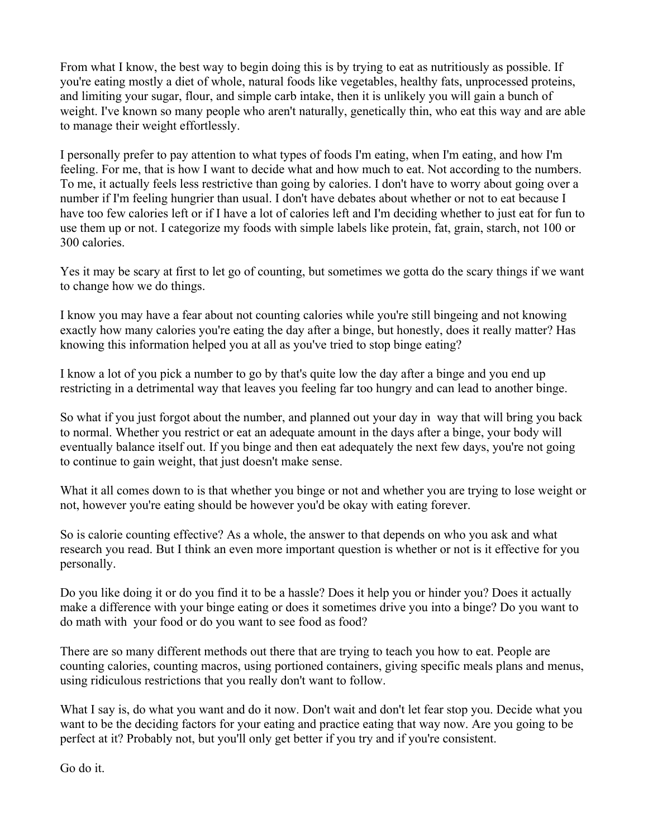From what I know, the best way to begin doing this is by trying to eat as nutritiously as possible. If you're eating mostly a diet of whole, natural foods like vegetables, healthy fats, unprocessed proteins, and limiting your sugar, flour, and simple carb intake, then it is unlikely you will gain a bunch of weight. I've known so many people who aren't naturally, genetically thin, who eat this way and are able to manage their weight effortlessly.

I personally prefer to pay attention to what types of foods I'm eating, when I'm eating, and how I'm feeling. For me, that is how I want to decide what and how much to eat. Not according to the numbers. To me, it actually feels less restrictive than going by calories. I don't have to worry about going over a number if I'm feeling hungrier than usual. I don't have debates about whether or not to eat because I have too few calories left or if I have a lot of calories left and I'm deciding whether to just eat for fun to use them up or not. I categorize my foods with simple labels like protein, fat, grain, starch, not 100 or 300 calories.

Yes it may be scary at first to let go of counting, but sometimes we gotta do the scary things if we want to change how we do things.

I know you may have a fear about not counting calories while you're still bingeing and not knowing exactly how many calories you're eating the day after a binge, but honestly, does it really matter? Has knowing this information helped you at all as you've tried to stop binge eating?

I know a lot of you pick a number to go by that's quite low the day after a binge and you end up restricting in a detrimental way that leaves you feeling far too hungry and can lead to another binge.

So what if you just forgot about the number, and planned out your day in way that will bring you back to normal. Whether you restrict or eat an adequate amount in the days after a binge, your body will eventually balance itself out. If you binge and then eat adequately the next few days, you're not going to continue to gain weight, that just doesn't make sense.

What it all comes down to is that whether you binge or not and whether you are trying to lose weight or not, however you're eating should be however you'd be okay with eating forever.

So is calorie counting effective? As a whole, the answer to that depends on who you ask and what research you read. But I think an even more important question is whether or not is it effective for you personally.

Do you like doing it or do you find it to be a hassle? Does it help you or hinder you? Does it actually make a difference with your binge eating or does it sometimes drive you into a binge? Do you want to do math with your food or do you want to see food as food?

There are so many different methods out there that are trying to teach you how to eat. People are counting calories, counting macros, using portioned containers, giving specific meals plans and menus, using ridiculous restrictions that you really don't want to follow.

What I say is, do what you want and do it now. Don't wait and don't let fear stop you. Decide what you want to be the deciding factors for your eating and practice eating that way now. Are you going to be perfect at it? Probably not, but you'll only get better if you try and if you're consistent.

Go do it.